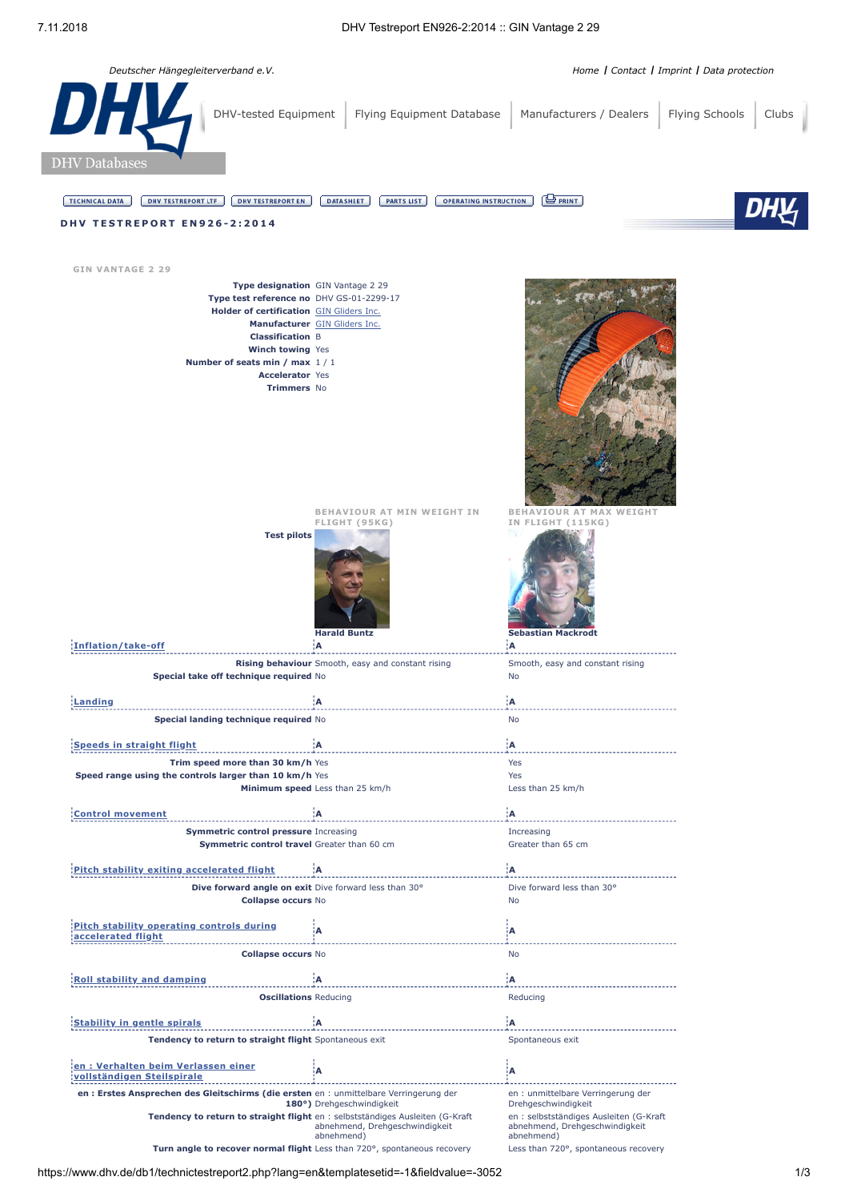| Deutscher Hängegleiterverband e.V.                                                                                                                                                                                                                 |                                                                       |                                                                                           | Home   Contact   Imprint   Data protection |
|----------------------------------------------------------------------------------------------------------------------------------------------------------------------------------------------------------------------------------------------------|-----------------------------------------------------------------------|-------------------------------------------------------------------------------------------|--------------------------------------------|
| DHY<br>DHV-tested Equipment                                                                                                                                                                                                                        | Flying Equipment Database                                             | Manufacturers / Dealers                                                                   | Flying Schools<br>Clubs                    |
| <b>DHV</b> Databases                                                                                                                                                                                                                               |                                                                       |                                                                                           |                                            |
| <b>DHV TESTREPORT EN</b><br><b>TECHNICAL DATA</b><br><b>DHV TESTREPORT LTF</b><br><b>DHV TESTREPORT EN926-2:2014</b>                                                                                                                               | <b>DATASHEET</b><br><b>PARTS LIST</b><br><b>OPERATING INSTRUCTION</b> | $\bigoplus$ PRINT                                                                         |                                            |
| <b>GIN VANTAGE 2 29</b>                                                                                                                                                                                                                            |                                                                       |                                                                                           |                                            |
| Type designation GIN Vantage 2 29<br>Type test reference no DHV GS-01-2299-17<br>Holder of certification GIN Gliders Inc.<br><b>Classification B</b><br>Winch towing Yes<br>Number of seats min / max 1/1<br><b>Accelerator Yes</b><br>Trimmers No | Manufacturer GIN Gliders Inc.                                         |                                                                                           |                                            |
| <b>Test pilots</b>                                                                                                                                                                                                                                 | BEHAVIOUR AT MIN WEIGHT IN<br>FLIGHT (95KG)<br><b>Harald Buntz</b>    | <b>BEHAVIOUR AT MAX</b><br>WEIGHT<br>IN FLIGHT (115KG)<br>m.<br><b>Sebastian Mackrodt</b> |                                            |
| Inflation/take-off                                                                                                                                                                                                                                 | ¦A<br>Rising behaviour Smooth, easy and constant rising               | ¦A<br>Smooth, easy and constant rising                                                    |                                            |
| Special take off technique required No                                                                                                                                                                                                             |                                                                       | No                                                                                        |                                            |
| Landing<br>Special landing technique required No                                                                                                                                                                                                   | :A                                                                    | ÌА.<br>No                                                                                 |                                            |
|                                                                                                                                                                                                                                                    |                                                                       |                                                                                           |                                            |
| Speeds in straight flight<br>Trim speed more than 30 km/h Yes                                                                                                                                                                                      | ۱Ā.                                                                   | ¦A<br>Yes                                                                                 |                                            |
| Speed range using the controls larger than 10 km/h Yes                                                                                                                                                                                             |                                                                       | Yes                                                                                       |                                            |
|                                                                                                                                                                                                                                                    | Minimum speed Less than 25 km/h                                       | Less than 25 km/h                                                                         |                                            |
| <b>Control movement</b>                                                                                                                                                                                                                            | ١A                                                                    | ¦A                                                                                        |                                            |
| <b>Symmetric control pressure Increasing</b><br>Symmetric control travel Greater than 60 cm                                                                                                                                                        |                                                                       | Increasing<br>Greater than 65 cm                                                          |                                            |
| Pitch stability exiting accelerated flight                                                                                                                                                                                                         | :A                                                                    | ΪA.                                                                                       |                                            |
| Dive forward angle on exit Dive forward less than 30°<br><b>Collapse occurs No</b>                                                                                                                                                                 |                                                                       | Dive forward less than 30°<br>No                                                          |                                            |
| Pitch stability operating controls during                                                                                                                                                                                                          |                                                                       |                                                                                           |                                            |
| accelerated flight                                                                                                                                                                                                                                 | A                                                                     | ίA                                                                                        |                                            |
| <b>Collapse occurs No</b>                                                                                                                                                                                                                          |                                                                       | No                                                                                        |                                            |
| <b>Roll stability and damping</b>                                                                                                                                                                                                                  | Ά                                                                     | ¦Α                                                                                        |                                            |
| <b>Oscillations Reducing</b>                                                                                                                                                                                                                       |                                                                       | Reducing                                                                                  |                                            |
| <b>Stability in gentle spirals</b>                                                                                                                                                                                                                 | :A                                                                    | İΑ.                                                                                       |                                            |
| Tendency to return to straight flight Spontaneous exit                                                                                                                                                                                             |                                                                       | Spontaneous exit                                                                          |                                            |
| en: Verhalten beim Verlassen einer<br>vollständigen Steilspirale                                                                                                                                                                                   | А                                                                     | İΑ                                                                                        |                                            |
| en : Erstes Ansprechen des Gleitschirms (die ersten en : unmittelbare Verringerung der                                                                                                                                                             | 180°) Drehgeschwindigkeit                                             | en : unmittelbare Verringerung der<br>Drehgeschwindigkeit                                 |                                            |

**Tendency to return to straight flight** en : selbstständiges Ausleiten (G-Kraft<br>abnehmend, Drehgeschwindigkeit<br>abnehmend)

**Turn angle to recover normal flight** Less than 720°, spontaneous recovery Less than 720°, spontaneous recovery

en : selbstständiges Ausleiten (G-Kraft abnehmend, Drehgeschwindigkeit abnehmend)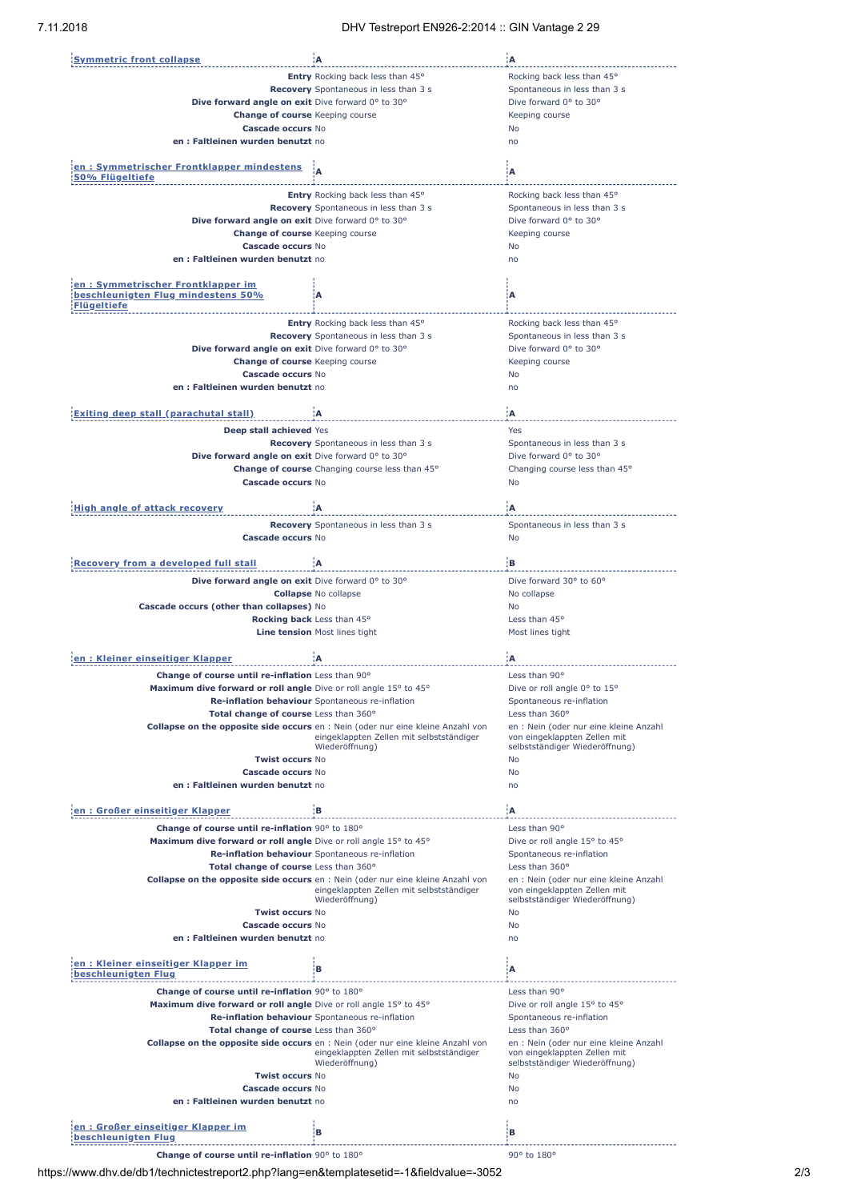| <b>Symmetric front collapse</b>                                  | ۱A.                                                                                    | ۱A.                                                            |
|------------------------------------------------------------------|----------------------------------------------------------------------------------------|----------------------------------------------------------------|
|                                                                  | Entry Rocking back less than 45°                                                       | Rocking back less than 45°                                     |
|                                                                  | Recovery Spontaneous in less than 3 s                                                  | Spontaneous in less than 3 s                                   |
| Dive forward angle on exit Dive forward 0° to 30°                |                                                                                        | Dive forward 0° to 30°                                         |
| <b>Change of course</b> Keeping course<br>Cascade occurs No      |                                                                                        | Keeping course                                                 |
| en: Faltleinen wurden benutzt no                                 |                                                                                        | No<br>no                                                       |
|                                                                  |                                                                                        |                                                                |
| <u>en : Symmetrischer Frontklapper mindestens</u>                |                                                                                        |                                                                |
| 50% Flügeltiefe                                                  |                                                                                        | A                                                              |
|                                                                  | Entry Rocking back less than 45°                                                       | Rocking back less than 45°                                     |
|                                                                  | Recovery Spontaneous in less than 3 s                                                  | Spontaneous in less than 3 s                                   |
| Dive forward angle on exit Dive forward 0° to 30°                |                                                                                        | Dive forward 0° to 30°                                         |
| <b>Change of course Keeping course</b>                           |                                                                                        | Keeping course                                                 |
| Cascade occurs No                                                |                                                                                        | No                                                             |
| en: Faltleinen wurden benutzt no                                 |                                                                                        | no                                                             |
|                                                                  |                                                                                        |                                                                |
| en: Symmetrischer Frontklapper im                                |                                                                                        |                                                                |
| beschleunigten Flug mindestens 50%                               | Α                                                                                      | А                                                              |
| Flügeltiefe                                                      |                                                                                        |                                                                |
|                                                                  | Entry Rocking back less than 45°                                                       | Rocking back less than 45°                                     |
|                                                                  | Recovery Spontaneous in less than 3 s                                                  | Spontaneous in less than 3 s                                   |
| Dive forward angle on exit Dive forward 0° to 30°                |                                                                                        | Dive forward 0° to 30°                                         |
| <b>Change of course Keeping course</b>                           |                                                                                        | Keeping course                                                 |
| Cascade occurs No                                                |                                                                                        | No                                                             |
| en: Faltleinen wurden benutzt no                                 |                                                                                        | no                                                             |
|                                                                  |                                                                                        |                                                                |
| Exiting deep stall (parachutal stall)                            | :A                                                                                     | 'А                                                             |
| <b>Deep stall achieved Yes</b>                                   |                                                                                        | Yes                                                            |
|                                                                  | Recovery Spontaneous in less than 3 s                                                  | Spontaneous in less than 3 s                                   |
| Dive forward angle on exit Dive forward 0° to 30°                |                                                                                        | Dive forward 0° to 30°                                         |
|                                                                  | Change of course Changing course less than 45°                                         | Changing course less than 45°                                  |
| Cascade occurs No                                                |                                                                                        | <b>No</b>                                                      |
|                                                                  |                                                                                        |                                                                |
| <b>High angle of attack recovery</b>                             | A                                                                                      | :A                                                             |
|                                                                  | Recovery Spontaneous in less than 3 s                                                  | Spontaneous in less than 3 s                                   |
| Cascade occurs No                                                |                                                                                        | <b>No</b>                                                      |
|                                                                  |                                                                                        |                                                                |
| <b>Recovery from a developed full stall</b>                      | łА:                                                                                    | :в                                                             |
| Dive forward angle on exit Dive forward 0° to 30°                |                                                                                        | Dive forward 30° to 60°                                        |
|                                                                  | <b>Collapse No collapse</b>                                                            | No collapse                                                    |
| Cascade occurs (other than collapses) No                         |                                                                                        | No                                                             |
|                                                                  |                                                                                        |                                                                |
|                                                                  | Rocking back Less than 45°                                                             | Less than 45°                                                  |
|                                                                  | Line tension Most lines tight                                                          | Most lines tight                                               |
|                                                                  |                                                                                        |                                                                |
| en: Kleiner einseitiger Klapper                                  | :A                                                                                     | 'А                                                             |
| Change of course until re-inflation Less than 90°                |                                                                                        | Less than 90°                                                  |
| Maximum dive forward or roll angle Dive or roll angle 15° to 45° |                                                                                        | Dive or roll angle 0° to 15°                                   |
|                                                                  | Re-inflation behaviour Spontaneous re-inflation                                        | Spontaneous re-inflation                                       |
| Total change of course Less than 360°                            |                                                                                        | Less than 360°                                                 |
|                                                                  | <b>Collapse on the opposite side occurs</b> en : Nein (oder nur eine kleine Anzahl von | en : Nein (oder nur eine kleine Anzahl                         |
|                                                                  | eingeklappten Zellen mit selbstständiger                                               | von eingeklappten Zellen mit                                   |
| <b>Twist occurs No</b>                                           | Wiederöffnung)                                                                         | selbstständiger Wiederöffnung)<br>No                           |
| Cascade occurs No                                                |                                                                                        | No                                                             |
| en: Faltleinen wurden benutzt no                                 |                                                                                        | no                                                             |
|                                                                  |                                                                                        |                                                                |
| en : Großer einseitiger Klapper                                  | ìВ.                                                                                    | ۱A.                                                            |
| Change of course until re-inflation 90° to 180°                  |                                                                                        | Less than 90°                                                  |
| Maximum dive forward or roll angle Dive or roll angle 15° to 45° |                                                                                        | Dive or roll angle 15° to 45°                                  |
|                                                                  | Re-inflation behaviour Spontaneous re-inflation                                        | Spontaneous re-inflation                                       |
| Total change of course Less than 360°                            |                                                                                        | Less than 360°                                                 |
|                                                                  | <b>Collapse on the opposite side occurs</b> en : Nein (oder nur eine kleine Anzahl von | en : Nein (oder nur eine kleine Anzahl                         |
|                                                                  | eingeklappten Zellen mit selbstständiger<br>Wiederöffnung)                             | von eingeklappten Zellen mit<br>selbstständiger Wiederöffnung) |
| <b>Twist occurs No</b>                                           |                                                                                        | No                                                             |
| Cascade occurs No                                                |                                                                                        | No                                                             |
| en: Faltleinen wurden benutzt no                                 |                                                                                        | no                                                             |
|                                                                  |                                                                                        |                                                                |
| en: Kleiner einseitiger Klapper im                               | в                                                                                      | Α                                                              |
| beschleunigten Flug                                              |                                                                                        |                                                                |
| Change of course until re-inflation 90° to 180°                  |                                                                                        | Less than 90°                                                  |
| Maximum dive forward or roll angle Dive or roll angle 15° to 45° |                                                                                        | Dive or roll angle 15° to 45°                                  |
|                                                                  | Re-inflation behaviour Spontaneous re-inflation                                        | Spontaneous re-inflation                                       |
| Total change of course Less than 360°                            |                                                                                        | Less than 360°                                                 |
|                                                                  | <b>Collapse on the opposite side occurs</b> en : Nein (oder nur eine kleine Anzahl von | en : Nein (oder nur eine kleine Anzahl                         |
|                                                                  | eingeklappten Zellen mit selbstständiger                                               | von eingeklappten Zellen mit                                   |
| <b>Twist occurs No</b>                                           | Wiederöffnung)                                                                         | selbstständiger Wiederöffnung)                                 |
| Cascade occurs No                                                |                                                                                        | No<br>No                                                       |
| en : Faltleinen wurden benutzt no                                |                                                                                        | no                                                             |
|                                                                  |                                                                                        |                                                                |
| en : Großer einseitiger Klapper im<br>beschleunigten Flug        | в                                                                                      | в                                                              |

**Change of course until re-inflation** 90° to 180° **course until re-inflation** 90° to 180°

https://www.dhv.de/db1/technictestreport2.php?lang=en&templatesetid=-1&fieldvalue=-3052 2/3